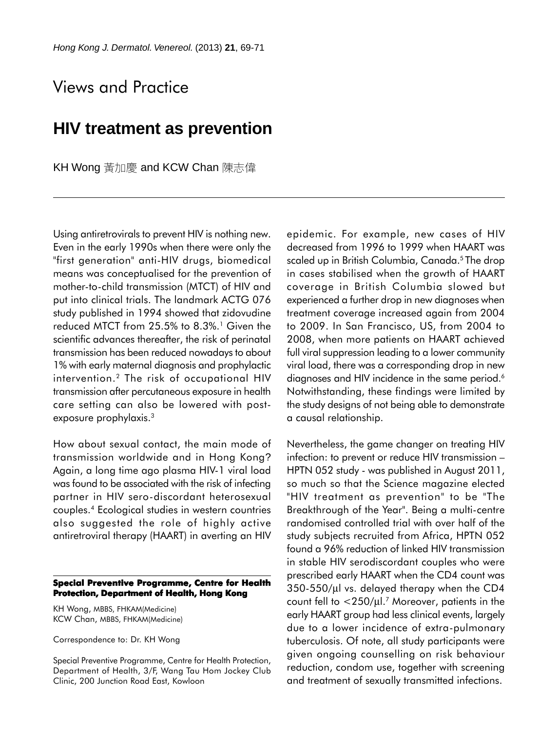## Views and Practice

## **HIV treatment as prevention**

KH Wong 黃加慶 and KCW Chan 陳志偉

Using antiretrovirals to prevent HIV is nothing new. Even in the early 1990s when there were only the "first generation" anti-HIV drugs, biomedical means was conceptualised for the prevention of mother-to-child transmission (MTCT) of HIV and put into clinical trials. The landmark ACTG 076 study published in 1994 showed that zidovudine reduced MTCT from  $25.5\%$  to  $8.3\%$ .<sup>1</sup> Given the scientific advances thereafter, the risk of perinatal transmission has been reduced nowadays to about 1% with early maternal diagnosis and prophylactic intervention.2 The risk of occupational HIV transmission after percutaneous exposure in health care setting can also be lowered with postexposure prophylaxis.<sup>3</sup>

How about sexual contact, the main mode of transmission worldwide and in Hong Kong? Again, a long time ago plasma HIV-1 viral load was found to be associated with the risk of infecting partner in HIV sero-discordant heterosexual couples.4 Ecological studies in western countries also suggested the role of highly active antiretroviral therapy (HAART) in averting an HIV

## **Special Preventive Programme, Centre for Health Protection, Department of Health, Hong Kong**

KH Wong, MBBS, FHKAM(Medicine) KCW Chan, MBBS, FHKAM(Medicine)

Correspondence to: Dr. KH Wong

Special Preventive Programme, Centre for Health Protection, Department of Health, 3/F, Wang Tau Hom Jockey Club Clinic, 200 Junction Road East, Kowloon

epidemic. For example, new cases of HIV decreased from 1996 to 1999 when HAART was scaled up in British Columbia, Canada.<sup>5</sup> The drop in cases stabilised when the growth of HAART coverage in British Columbia slowed but experienced a further drop in new diagnoses when treatment coverage increased again from 2004 to 2009. In San Francisco, US, from 2004 to 2008, when more patients on HAART achieved full viral suppression leading to a lower community viral load, there was a corresponding drop in new diagnoses and HIV incidence in the same period.<sup>6</sup> Notwithstanding, these findings were limited by the study designs of not being able to demonstrate a causal relationship.

Nevertheless, the game changer on treating HIV infection: to prevent or reduce HIV transmission – HPTN 052 study - was published in August 2011, so much so that the Science magazine elected "HIV treatment as prevention" to be "The Breakthrough of the Year". Being a multi-centre randomised controlled trial with over half of the study subjects recruited from Africa, HPTN 052 found a 96% reduction of linked HIV transmission in stable HIV serodiscordant couples who were prescribed early HAART when the CD4 count was 350-550/µl vs. delayed therapy when the CD4 count fell to  $<$ 250/ $\mu$ l.<sup>7</sup> Moreover, patients in the early HAART group had less clinical events, largely due to a lower incidence of extra-pulmonary tuberculosis. Of note, all study participants were given ongoing counselling on risk behaviour reduction, condom use, together with screening and treatment of sexually transmitted infections.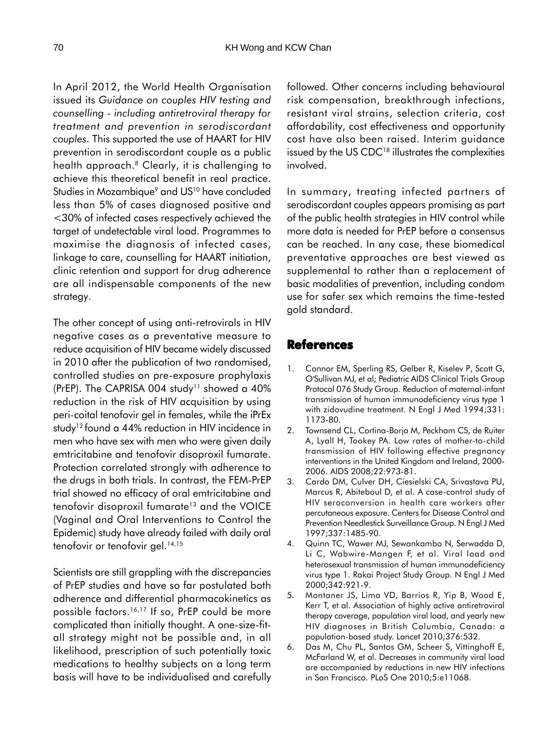In April 2012, the World Health Organisation issued its *Guidance on couples HIV testing and counselling - including antiretroviral therapy for treatment and prevention in serodiscordant couples*. This supported the use of HAART for HIV prevention in serodiscordant couple as a public health approach.<sup>8</sup> Clearly, it is challenging to achieve this theoretical benefit in real practice. Studies in Mozambique<sup>9</sup> and US<sup>10</sup> have concluded less than 5% of cases diagnosed positive and <30% of infected cases respectively achieved the target of undetectable viral load. Programmes to maximise the diagnosis of infected cases, linkage to care, counselling for HAART initiation, clinic retention and support for drug adherence are all indispensable components of the new strategy.

The other concept of using anti-retrovirals in HIV negative cases as a preventative measure to reduce acquisition of HIV became widely discussed in 2010 after the publication of two randomised, controlled studies on pre-exposure prophylaxis (PrEP). The CAPRISA 004 study<sup>11</sup> showed a 40% reduction in the risk of HIV acquisition by using peri-coital tenofovir gel in females, while the iPrEx study<sup>12</sup> found a 44% reduction in HIV incidence in men who have sex with men who were given daily emtricitabine and tenofovir disoproxil fumarate. Protection correlated strongly with adherence to the drugs in both trials. In contrast, the FEM-PrEP trial showed no efficacy of oral emtricitabine and tenofovir disoproxil fumarate<sup>13</sup> and the VOICE (Vaginal and Oral Interventions to Control the Epidemic) study have already failed with daily oral tenofovir or tenofovir gel.<sup>14,15</sup>

Scientists are still grappling with the discrepancies of PrEP studies and have so far postulated both adherence and differential pharmacokinetics as possible factors.<sup>16,17</sup> If so, PrEP could be more complicated than initially thought. A one-size-fitall strategy might not be possible and, in all likelihood, prescription of such potentially toxic medications to healthy subjects on a long term basis will have to be individualised and carefully followed. Other concerns including behavioural risk compensation, breakthrough infections, resistant viral strains, selection criteria, cost affordability, cost effectiveness and opportunity cost have also been raised. Interim guidance issued by the US CDC<sup>18</sup> illustrates the complexities involved.

In summary, treating infected partners of serodiscordant couples appears promising as part of the public health strategies in HIV control while more data is needed for PrEP before a consensus can be reached. In any case, these biomedical preventative approaches are best viewed as supplemental to rather than a replacement of basic modalities of prevention, including condom use for safer sex which remains the time-tested gold standard.

## **References**

- 1. Connor EM, Sperling RS, Gelber R, Kiselev P, Scott G, O'Sullivan MJ, et al; Pediatric AIDS Clinical Trials Group Protocol 076 Study Group. Reduction of maternal-infant transmission of human immunodeficiency virus type 1 with zidovudine treatment. N Engl J Med 1994;331: 1173-80.
- 2. Townsend CL, Cortina-Borja M, Peckham CS, de Ruiter A, Lyall H, Tookey PA. Low rates of mother-to-child transmission of HIV following effective pregnancy interventions in the United Kingdom and Ireland, 2000- 2006. AIDS 2008;22:973-81.
- 3. Cardo DM, Culver DH, Ciesielski CA, Srivastava PU, Marcus R, Abiteboul D, et al. A case-control study of HIV seroconversion in health care workers after percutaneous exposure. Centers for Disease Control and Prevention Needlestick Surveillance Group. N Engl J Med 1997;337:1485-90.
- 4. Quinn TC, Wawer MJ, Sewankambo N, Serwadda D, Li C, Wabwire-Mangen F, et al. Viral load and heterosexual transmission of human immunodeficiency virus type 1. Rakai Project Study Group. N Engl J Med 2000;342:921-9.
- 5. Montaner JS, Lima VD, Barrios R, Yip B, Wood E, Kerr T, et al. Association of highly active antiretroviral therapy coverage, population viral load, and yearly new HIV diagnoses in British Columbia, Canada: a population-based study. Lancet 2010;376:532.
- 6. Das M, Chu PL, Santos GM, Scheer S, Vittinghoff E, McFarland W, et al. Decreases in community viral load are accompanied by reductions in new HIV infections in San Francisco. PLoS One 2010;5:e11068.